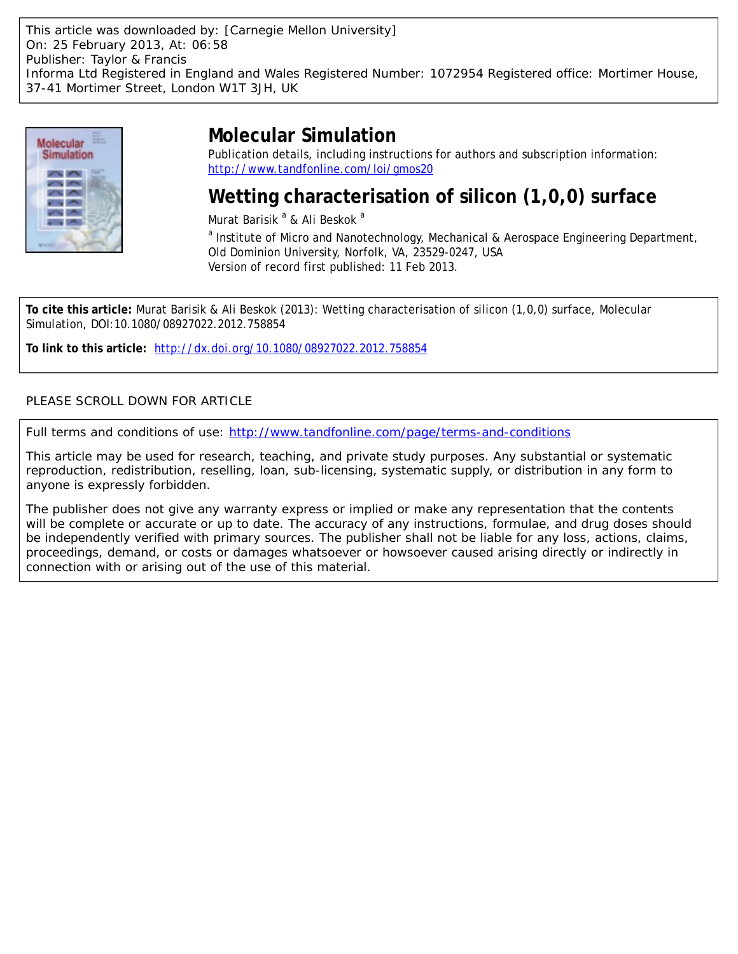This article was downloaded by: [Carnegie Mellon University] On: 25 February 2013, At: 06:58 Publisher: Taylor & Francis Informa Ltd Registered in England and Wales Registered Number: 1072954 Registered office: Mortimer House, 37-41 Mortimer Street, London W1T 3JH, UK



# **Molecular Simulation**

Publication details, including instructions for authors and subscription information: <http://www.tandfonline.com/loi/gmos20>

# **Wetting characterisation of silicon (1,0,0) surface**

Murat Barisik <sup>a</sup> & Ali Beskok <sup>a</sup>

<sup>a</sup> Institute of Micro and Nanotechnology, Mechanical & Aerospace Engineering Department, Old Dominion University, Norfolk, VA, 23529-0247, USA Version of record first published: 11 Feb 2013.

**To cite this article:** Murat Barisik & Ali Beskok (2013): Wetting characterisation of silicon (1,0,0) surface, Molecular Simulation, DOI:10.1080/08927022.2012.758854

**To link to this article:** <http://dx.doi.org/10.1080/08927022.2012.758854>

# PLEASE SCROLL DOWN FOR ARTICLE

Full terms and conditions of use:<http://www.tandfonline.com/page/terms-and-conditions>

This article may be used for research, teaching, and private study purposes. Any substantial or systematic reproduction, redistribution, reselling, loan, sub-licensing, systematic supply, or distribution in any form to anyone is expressly forbidden.

The publisher does not give any warranty express or implied or make any representation that the contents will be complete or accurate or up to date. The accuracy of any instructions, formulae, and drug doses should be independently verified with primary sources. The publisher shall not be liable for any loss, actions, claims, proceedings, demand, or costs or damages whatsoever or howsoever caused arising directly or indirectly in connection with or arising out of the use of this material.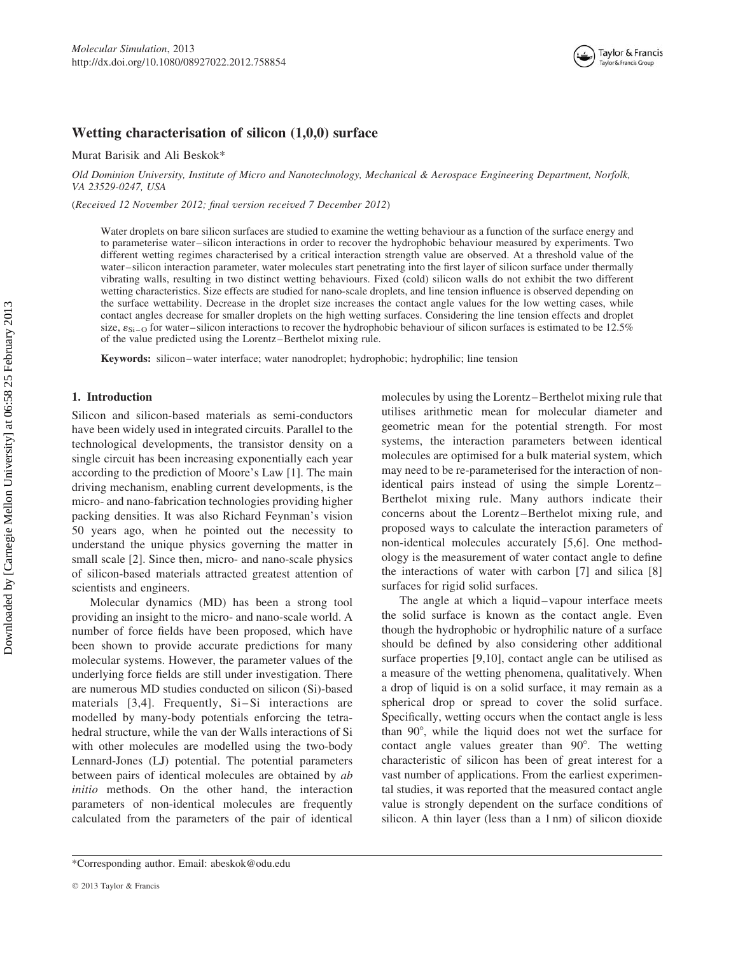Murat Barisik and Ali Beskok\*

Old Dominion University, Institute of Micro and Nanotechnology, Mechanical & Aerospace Engineering Department, Norfolk, VA 23529-0247, USA

(Received 12 November 2012; final version received 7 December 2012)

Water droplets on bare silicon surfaces are studied to examine the wetting behaviour as a function of the surface energy and to parameterise water–silicon interactions in order to recover the hydrophobic behaviour measured by experiments. Two different wetting regimes characterised by a critical interaction strength value are observed. At a threshold value of the water–silicon interaction parameter, water molecules start penetrating into the first layer of silicon surface under thermally vibrating walls, resulting in two distinct wetting behaviours. Fixed (cold) silicon walls do not exhibit the two different wetting characteristics. Size effects are studied for nano-scale droplets, and line tension influence is observed depending on the surface wettability. Decrease in the droplet size increases the contact angle values for the low wetting cases, while contact angles decrease for smaller droplets on the high wetting surfaces. Considering the line tension effects and droplet size,  $\varepsilon_{Si-O}$  for water–silicon interactions to recover the hydrophobic behaviour of silicon surfaces is estimated to be 12.5% of the value predicted using the Lorentz–Berthelot mixing rule.

Keywords: silicon–water interface; water nanodroplet; hydrophobic; hydrophilic; line tension

# 1. Introduction

Silicon and silicon-based materials as semi-conductors have been widely used in integrated circuits. Parallel to the technological developments, the transistor density on a single circuit has been increasing exponentially each year according to the prediction of Moore's Law [1]. The main driving mechanism, enabling current developments, is the micro- and nano-fabrication technologies providing higher packing densities. It was also Richard Feynman's vision 50 years ago, when he pointed out the necessity to understand the unique physics governing the matter in small scale [2]. Since then, micro- and nano-scale physics of silicon-based materials attracted greatest attention of scientists and engineers.

Molecular dynamics (MD) has been a strong tool providing an insight to the micro- and nano-scale world. A number of force fields have been proposed, which have been shown to provide accurate predictions for many molecular systems. However, the parameter values of the underlying force fields are still under investigation. There are numerous MD studies conducted on silicon (Si)-based materials [3,4]. Frequently, Si–Si interactions are modelled by many-body potentials enforcing the tetrahedral structure, while the van der Walls interactions of Si with other molecules are modelled using the two-body Lennard-Jones (LJ) potential. The potential parameters between pairs of identical molecules are obtained by ab initio methods. On the other hand, the interaction parameters of non-identical molecules are frequently calculated from the parameters of the pair of identical molecules by using the Lorentz–Berthelot mixing rule that utilises arithmetic mean for molecular diameter and

Taylor & Francis Taylor & Francis Group

\*Corresponding author. Email: abeskok@odu.edu

geometric mean for the potential strength. For most systems, the interaction parameters between identical molecules are optimised for a bulk material system, which may need to be re-parameterised for the interaction of nonidentical pairs instead of using the simple Lorentz– Berthelot mixing rule. Many authors indicate their concerns about the Lorentz–Berthelot mixing rule, and proposed ways to calculate the interaction parameters of non-identical molecules accurately [5,6]. One methodology is the measurement of water contact angle to define the interactions of water with carbon [7] and silica [8] surfaces for rigid solid surfaces. The angle at which a liquid–vapour interface meets

the solid surface is known as the contact angle. Even though the hydrophobic or hydrophilic nature of a surface should be defined by also considering other additional surface properties [9,10], contact angle can be utilised as a measure of the wetting phenomena, qualitatively. When a drop of liquid is on a solid surface, it may remain as a spherical drop or spread to cover the solid surface. Specifically, wetting occurs when the contact angle is less than  $90^\circ$ , while the liquid does not wet the surface for contact angle values greater than  $90^\circ$ . The wetting characteristic of silicon has been of great interest for a vast number of applications. From the earliest experimental studies, it was reported that the measured contact angle value is strongly dependent on the surface conditions of silicon. A thin layer (less than a 1 nm) of silicon dioxide

 $©$  2013 Taylor & Francis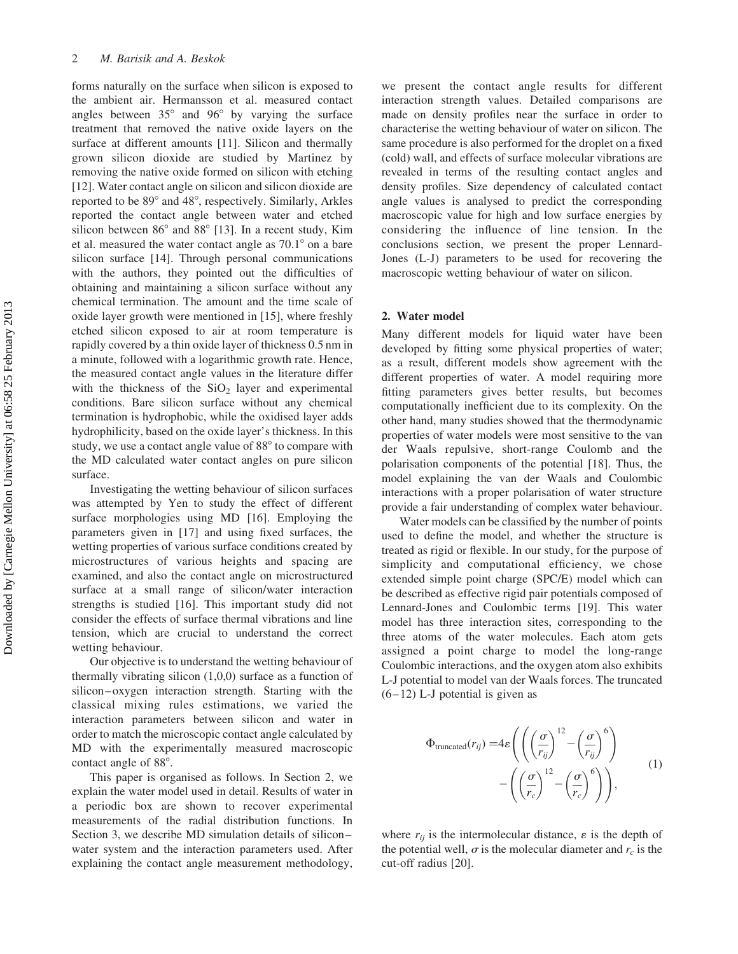forms naturally on the surface when silicon is exposed to the ambient air. Hermansson et al. measured contact angles between  $35^{\circ}$  and  $96^{\circ}$  by varying the surface treatment that removed the native oxide layers on the surface at different amounts [11]. Silicon and thermally grown silicon dioxide are studied by Martinez by removing the native oxide formed on silicon with etching [12]. Water contact angle on silicon and silicon dioxide are reported to be 89° and 48°, respectively. Similarly, Arkles reported the contact angle between water and etched silicon between  $86^{\circ}$  and  $88^{\circ}$  [13]. In a recent study, Kim et al. measured the water contact angle as  $70.1^\circ$  on a bare silicon surface [14]. Through personal communications with the authors, they pointed out the difficulties of obtaining and maintaining a silicon surface without any chemical termination. The amount and the time scale of oxide layer growth were mentioned in [15], where freshly etched silicon exposed to air at room temperature is rapidly covered by a thin oxide layer of thickness 0.5 nm in a minute, followed with a logarithmic growth rate. Hence, the measured contact angle values in the literature differ with the thickness of the  $SiO<sub>2</sub>$  layer and experimental conditions. Bare silicon surface without any chemical termination is hydrophobic, while the oxidised layer adds hydrophilicity, based on the oxide layer's thickness. In this study, we use a contact angle value of 88° to compare with the MD calculated water contact angles on pure silicon surface.

Investigating the wetting behaviour of silicon surfaces was attempted by Yen to study the effect of different surface morphologies using MD [16]. Employing the parameters given in [17] and using fixed surfaces, the wetting properties of various surface conditions created by microstructures of various heights and spacing are examined, and also the contact angle on microstructured surface at a small range of silicon/water interaction strengths is studied [16]. This important study did not consider the effects of surface thermal vibrations and line tension, which are crucial to understand the correct wetting behaviour.

Our objective is to understand the wetting behaviour of thermally vibrating silicon (1,0,0) surface as a function of silicon–oxygen interaction strength. Starting with the classical mixing rules estimations, we varied the interaction parameters between silicon and water in order to match the microscopic contact angle calculated by MD with the experimentally measured macroscopic contact angle of  $88^\circ$ .

This paper is organised as follows. In Section 2, we explain the water model used in detail. Results of water in a periodic box are shown to recover experimental measurements of the radial distribution functions. In Section 3, we describe MD simulation details of silicon– water system and the interaction parameters used. After explaining the contact angle measurement methodology, we present the contact angle results for different interaction strength values. Detailed comparisons are made on density profiles near the surface in order to characterise the wetting behaviour of water on silicon. The same procedure is also performed for the droplet on a fixed (cold) wall, and effects of surface molecular vibrations are revealed in terms of the resulting contact angles and density profiles. Size dependency of calculated contact angle values is analysed to predict the corresponding macroscopic value for high and low surface energies by considering the influence of line tension. In the conclusions section, we present the proper Lennard-Jones (L-J) parameters to be used for recovering the macroscopic wetting behaviour of water on silicon.

### 2. Water model

Many different models for liquid water have been developed by fitting some physical properties of water; as a result, different models show agreement with the different properties of water. A model requiring more fitting parameters gives better results, but becomes computationally inefficient due to its complexity. On the other hand, many studies showed that the thermodynamic properties of water models were most sensitive to the van der Waals repulsive, short-range Coulomb and the polarisation components of the potential [18]. Thus, the model explaining the van der Waals and Coulombic interactions with a proper polarisation of water structure provide a fair understanding of complex water behaviour.

Water models can be classified by the number of points used to define the model, and whether the structure is treated as rigid or flexible. In our study, for the purpose of simplicity and computational efficiency, we chose extended simple point charge (SPC/E) model which can be described as effective rigid pair potentials composed of Lennard-Jones and Coulombic terms [19]. This water model has three interaction sites, corresponding to the three atoms of the water molecules. Each atom gets assigned a point charge to model the long-range Coulombic interactions, and the oxygen atom also exhibits L-J potential to model van der Waals forces. The truncated  $(6-12)$  L-J potential is given as

$$
\Phi_{\text{truncated}}(r_{ij}) = 4\varepsilon \left( \left( \left( \frac{\sigma}{r_{ij}} \right)^{12} - \left( \frac{\sigma}{r_{ij}} \right)^6 \right) - \left( \left( \frac{\sigma}{r_c} \right)^{12} - \left( \frac{\sigma}{r_c} \right)^6 \right) \right), \tag{1}
$$

where  $r_{ij}$  is the intermolecular distance,  $\varepsilon$  is the depth of the potential well,  $\sigma$  is the molecular diameter and  $r_c$  is the cut-off radius [20].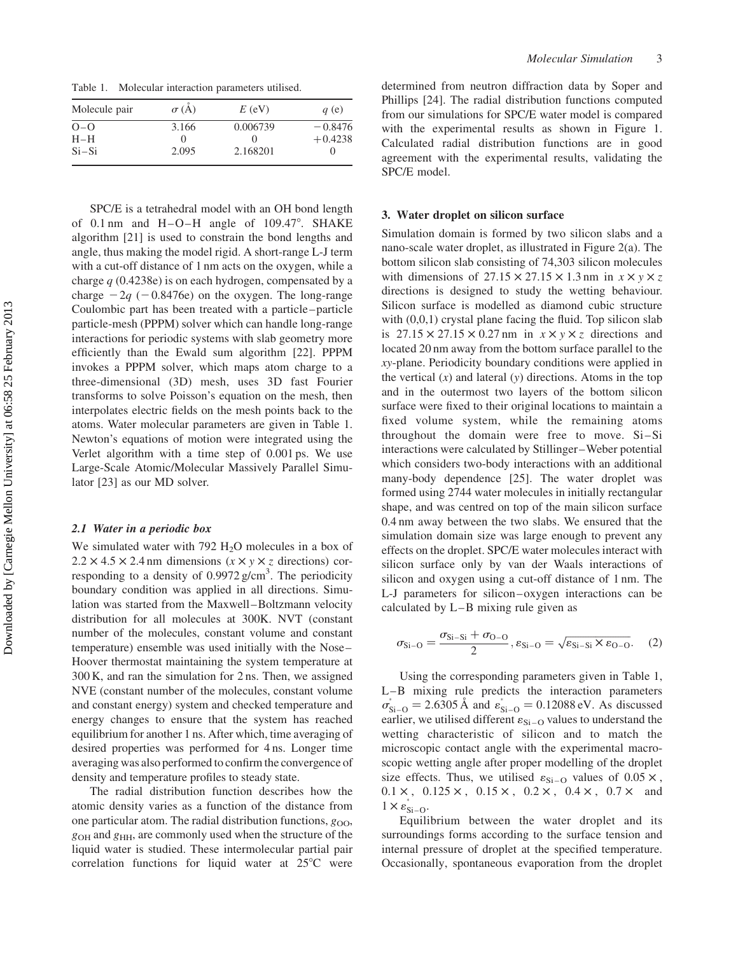Table 1. Molecular interaction parameters utilised.

| Molecule pair | $\sigma(A)$ | $E$ (eV) | q(e)      |
|---------------|-------------|----------|-----------|
| $O-O$         | 3.166       | 0.006739 | $-0.8476$ |
| $H-H$         | $\theta$    |          | $+0.4238$ |
| $Si-Si$       | 2.095       | 2.168201 |           |

SPC/E is a tetrahedral model with an OH bond length of 0.1 nm and  $H-O-H$  angle of 109.47°. SHAKE algorithm [21] is used to constrain the bond lengths and angle, thus making the model rigid. A short-range L-J term with a cut-off distance of 1 nm acts on the oxygen, while a charge  $q$  (0.4238e) is on each hydrogen, compensated by a charge  $-2q$  ( $-0.8476e$ ) on the oxygen. The long-range Coulombic part has been treated with a particle–particle particle-mesh (PPPM) solver which can handle long-range interactions for periodic systems with slab geometry more efficiently than the Ewald sum algorithm [22]. PPPM invokes a PPPM solver, which maps atom charge to a three-dimensional (3D) mesh, uses 3D fast Fourier transforms to solve Poisson's equation on the mesh, then interpolates electric fields on the mesh points back to the atoms. Water molecular parameters are given in Table 1. Newton's equations of motion were integrated using the Verlet algorithm with a time step of 0.001 ps. We use Large-Scale Atomic/Molecular Massively Parallel Simulator [23] as our MD solver.

# 2.1 Water in a periodic box

We simulated water with 792  $H_2O$  molecules in a box of  $2.2 \times 4.5 \times 2.4$  nm dimensions  $(x \times y \times z)$  directions) corresponding to a density of 0.9972 g/cm<sup>3</sup>. The periodicity boundary condition was applied in all directions. Simulation was started from the Maxwell–Boltzmann velocity distribution for all molecules at 300K. NVT (constant number of the molecules, constant volume and constant temperature) ensemble was used initially with the Nose– Hoover thermostat maintaining the system temperature at 300 K, and ran the simulation for 2 ns. Then, we assigned NVE (constant number of the molecules, constant volume and constant energy) system and checked temperature and energy changes to ensure that the system has reached equilibrium for another 1 ns. After which, time averaging of desired properties was performed for 4 ns. Longer time averaging was also performed to confirm the convergence of density and temperature profiles to steady state.

The radial distribution function describes how the atomic density varies as a function of the distance from one particular atom. The radial distribution functions,  $g_{OO}$ ,  $g<sub>OH</sub>$  and  $g<sub>HH</sub>$ , are commonly used when the structure of the liquid water is studied. These intermolecular partial pair correlation functions for liquid water at  $25^{\circ}$ C were

determined from neutron diffraction data by Soper and Phillips [24]. The radial distribution functions computed from our simulations for SPC/E water model is compared with the experimental results as shown in Figure 1. Calculated radial distribution functions are in good agreement with the experimental results, validating the SPC/E model.

#### 3. Water droplet on silicon surface

Simulation domain is formed by two silicon slabs and a nano-scale water droplet, as illustrated in Figure 2(a). The bottom silicon slab consisting of 74,303 silicon molecules with dimensions of  $27.15 \times 27.15 \times 1.3$  nm in  $x \times y \times z$ directions is designed to study the wetting behaviour. Silicon surface is modelled as diamond cubic structure with  $(0,0,1)$  crystal plane facing the fluid. Top silicon slab is  $27.15 \times 27.15 \times 0.27$  nm in  $x \times y \times z$  directions and located 20 nm away from the bottom surface parallel to the xy-plane. Periodicity boundary conditions were applied in the vertical  $(x)$  and lateral  $(y)$  directions. Atoms in the top and in the outermost two layers of the bottom silicon surface were fixed to their original locations to maintain a fixed volume system, while the remaining atoms throughout the domain were free to move. Si–Si interactions were calculated by Stillinger–Weber potential which considers two-body interactions with an additional many-body dependence [25]. The water droplet was formed using 2744 water molecules in initially rectangular shape, and was centred on top of the main silicon surface 0.4 nm away between the two slabs. We ensured that the simulation domain size was large enough to prevent any effects on the droplet. SPC/E water molecules interact with silicon surface only by van der Waals interactions of silicon and oxygen using a cut-off distance of 1 nm. The L-J parameters for silicon–oxygen interactions can be calculated by L–B mixing rule given as

$$
\sigma_{\text{Si}-\text{O}} = \frac{\sigma_{\text{Si}-\text{Si}} + \sigma_{\text{O}-\text{O}}}{2}, \varepsilon_{\text{Si}-\text{O}} = \sqrt{\varepsilon_{\text{Si}-\text{Si}} \times \varepsilon_{\text{O}-\text{O}}}. \tag{2}
$$

Using the corresponding parameters given in Table 1, L–B mixing rule predicts the interaction parameters  $\sigma_{\text{Si}-\text{O}}^* = 2.6305 \,\text{\AA}$  and  $\varepsilon_{\text{Si}-\text{O}}^* = 0.12088 \,\text{eV}$ . As discussed earlier, we utilised different  $\varepsilon_{Si-O}$  values to understand the wetting characteristic of silicon and to match the microscopic contact angle with the experimental macroscopic wetting angle after proper modelling of the droplet size effects. Thus, we utilised  $\varepsilon_{Si-O}$  values of 0.05  $\times$ ,  $0.1 \times$ ,  $0.125 \times$ ,  $0.15 \times$ ,  $0.2 \times$ ,  $0.4 \times$ ,  $0.7 \times$  and  $1 \times \varepsilon_{\text{Si}-\text{O}}^*$ .

Equilibrium between the water droplet and its surroundings forms according to the surface tension and internal pressure of droplet at the specified temperature. Occasionally, spontaneous evaporation from the droplet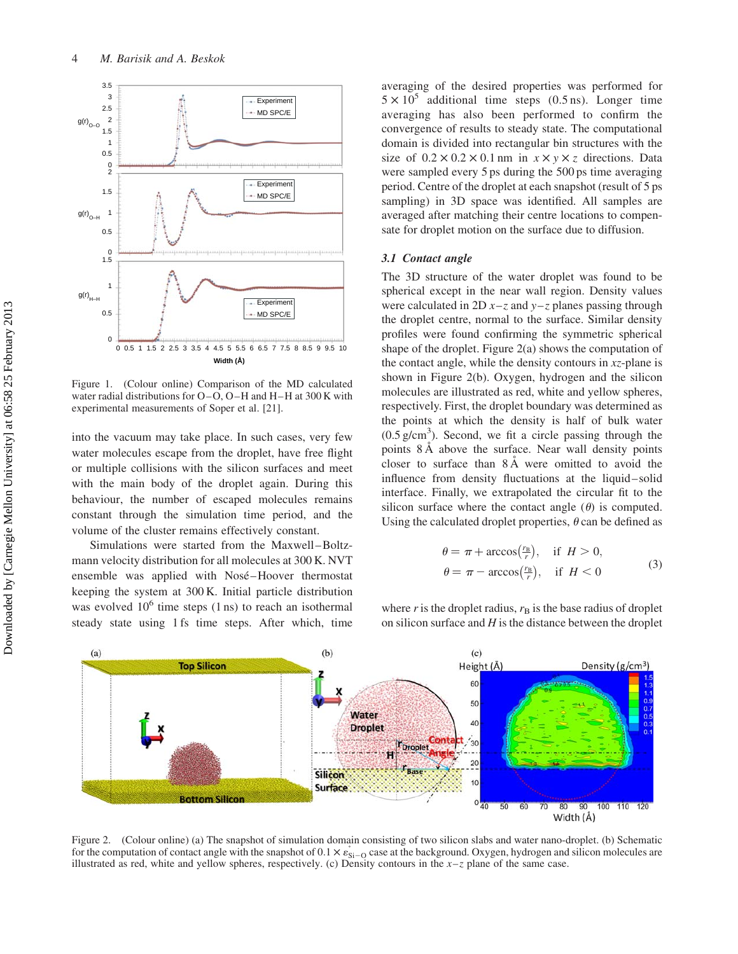

Figure 1. (Colour online) Comparison of the MD calculated water radial distributions for O–O, O–H and H–H at 300 K with experimental measurements of Soper et al. [21].

into the vacuum may take place. In such cases, very few water molecules escape from the droplet, have free flight or multiple collisions with the silicon surfaces and meet with the main body of the droplet again. During this behaviour, the number of escaped molecules remains constant through the simulation time period, and the volume of the cluster remains effectively constant.

Simulations were started from the Maxwell–Boltzmann velocity distribution for all molecules at 300 K. NVT ensemble was applied with Nosé-Hoover thermostat keeping the system at 300 K. Initial particle distribution was evolved  $10^6$  time steps (1 ns) to reach an isothermal steady state using 1 fs time steps. After which, time averaging of the desired properties was performed for  $5 \times 10^5$  additional time steps (0.5 ns). Longer time averaging has also been performed to confirm the convergence of results to steady state. The computational domain is divided into rectangular bin structures with the size of  $0.2 \times 0.2 \times 0.1$  nm in  $x \times y \times z$  directions. Data were sampled every 5 ps during the 500 ps time averaging period. Centre of the droplet at each snapshot (result of 5 ps sampling) in 3D space was identified. All samples are averaged after matching their centre locations to compensate for droplet motion on the surface due to diffusion.

#### 3.1 Contact angle

The 3D structure of the water droplet was found to be spherical except in the near wall region. Density values were calculated in 2D  $x-z$  and  $y-z$  planes passing through the droplet centre, normal to the surface. Similar density profiles were found confirming the symmetric spherical shape of the droplet. Figure 2(a) shows the computation of the contact angle, while the density contours in  $xz$ -plane is shown in Figure 2(b). Oxygen, hydrogen and the silicon molecules are illustrated as red, white and yellow spheres, respectively. First, the droplet boundary was determined as the points at which the density is half of bulk water  $(0.5 \text{ g/cm}^3)$ . Second, we fit a circle passing through the points 8 Å above the surface. Near wall density points closer to surface than  $8\text{\AA}$  were omitted to avoid the influence from density fluctuations at the liquid–solid interface. Finally, we extrapolated the circular fit to the silicon surface where the contact angle  $(\theta)$  is computed. Using the calculated droplet properties,  $\theta$  can be defined as

$$
\theta = \pi + \arccos\left(\frac{r_B}{r}\right), \quad \text{if } H > 0,
$$
\n
$$
\theta = \pi - \arccos\left(\frac{r_B}{r}\right), \quad \text{if } H < 0 \tag{3}
$$

where r is the droplet radius,  $r<sub>B</sub>$  is the base radius of droplet on silicon surface and  $H$  is the distance between the droplet



Figure 2. (Colour online) (a) The snapshot of simulation domain consisting of two silicon slabs and water nano-droplet. (b) Schematic for the computation of contact angle with the snapshot of  $0.1 \times \varepsilon_{Si-O}^*$  case at the background. Oxygen, hydrogen and silicon molecules are illustrated as red, white and yellow spheres, respectively. (c) Density contours in the  $x-z$  plane of the same case.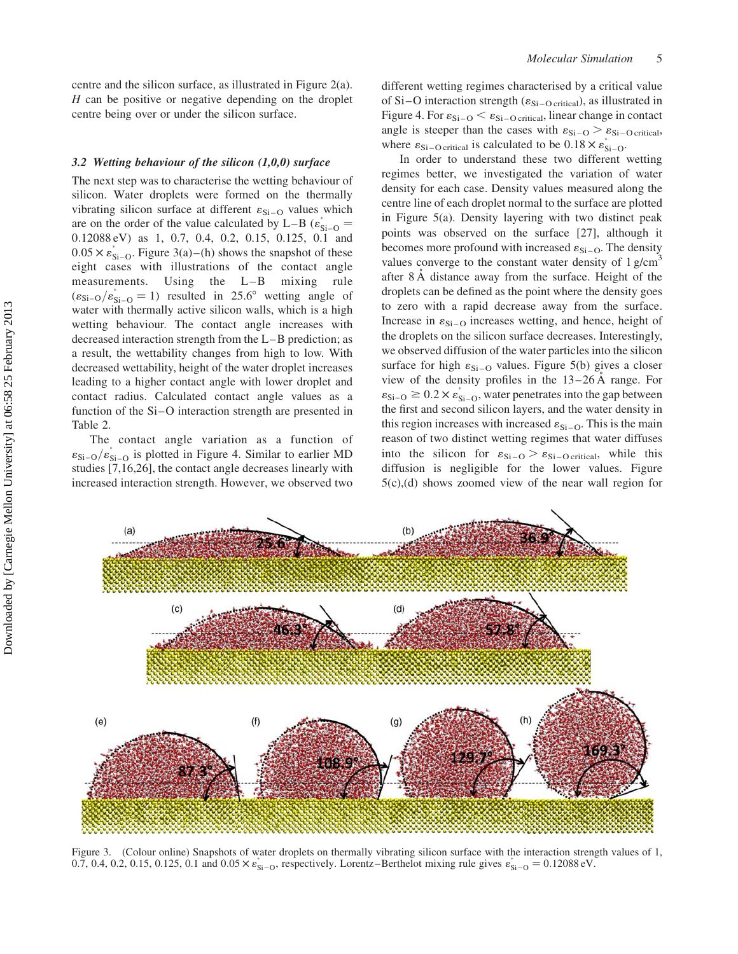centre and the silicon surface, as illustrated in Figure 2(a).  $H$  can be positive or negative depending on the droplet centre being over or under the silicon surface.

#### 3.2 Wetting behaviour of the silicon (1,0,0) surface

The next step was to characterise the wetting behaviour of silicon. Water droplets were formed on the thermally vibrating silicon surface at different  $\varepsilon_{Si-O}$  values which are on the order of the value calculated by L-B ( $\varepsilon_{Si-O}^*$  = 0.12088 eV) as 1, 0.7, 0.4, 0.2, 0.15, 0.125, 0.1 and  $0.05 \times \varepsilon_{Si-O}^*$ . Figure 3(a)–(h) shows the snapshot of these eight cases with illustrations of the contact angle measurements. Using the L–B mixing rule  $(\epsilon_{\text{Si}-\text{O}}/\epsilon_{\text{Si}-\text{O}}^* = 1)$  resulted in 25.6° wetting angle of water with thermally active silicon walls, which is a high wetting behaviour. The contact angle increases with decreased interaction strength from the L–B prediction; as a result, the wettability changes from high to low. With decreased wettability, height of the water droplet increases leading to a higher contact angle with lower droplet and contact radius. Calculated contact angle values as a function of the Si–O interaction strength are presented in Table 2.

The contact angle variation as a function of  $\varepsilon_{\text{Si}-\text{O}}/\varepsilon_{\text{Si}-\text{O}}^*$  is plotted in Figure 4. Similar to earlier MD studies [7,16,26], the contact angle decreases linearly with increased interaction strength. However, we observed two

different wetting regimes characterised by a critical value of Si–O interaction strength ( $\varepsilon_{Si-O\,\rm critical}$ ), as illustrated in Figure 4. For  $\varepsilon_{Si-O} < \varepsilon_{Si-O \text{ critical}}$ , linear change in contact angle is steeper than the cases with  $\varepsilon_{Si-O} > \varepsilon_{Si-O \text{ critical}}$ , where  $\varepsilon_{\text{Si}-\text{O critical}}$  is calculated to be  $0.18 \times \varepsilon_{\text{Si}-\text{O}}^*$ .

In order to understand these two different wetting regimes better, we investigated the variation of water density for each case. Density values measured along the centre line of each droplet normal to the surface are plotted in Figure 5(a). Density layering with two distinct peak points was observed on the surface [27], although it becomes more profound with increased  $\varepsilon_{Si-O}$ . The density values converge to the constant water density of  $1 \text{ g/cm}^3$ after 8 Å distance away from the surface. Height of the droplets can be defined as the point where the density goes to zero with a rapid decrease away from the surface. Increase in  $\varepsilon_{Si-O}$  increases wetting, and hence, height of the droplets on the silicon surface decreases. Interestingly, we observed diffusion of the water particles into the silicon surface for high  $\varepsilon_{Si-O}$  values. Figure 5(b) gives a closer view of the density profiles in the  $13-26$  Å range. For  $\varepsilon_{\text{Si}-\text{O}} \geq 0.2 \times \varepsilon_{\text{Si}-\text{O}}^{*}$ , water penetrates into the gap between the first and second silicon layers, and the water density in this region increases with increased  $\varepsilon_{Si-O}$ . This is the main reason of two distinct wetting regimes that water diffuses into the silicon for  $\varepsilon_{Si-O} > \varepsilon_{Si-O \text{ critical}}$ , while this diffusion is negligible for the lower values. Figure 5(c),(d) shows zoomed view of the near wall region for



Figure 3. (Colour online) Snapshots of water droplets on thermally vibrating silicon surface with the interaction strength values of 1, 0.7, 0.4, 0.2, 0.15, 0.125, 0.1 and 0.05  $\times \vec{e}_{Si-O}$ , respectively. Lorentz–Berthelot mixing rule gives  $\vec{e}_{Si-O} = 0.12088 \text{ eV}$ .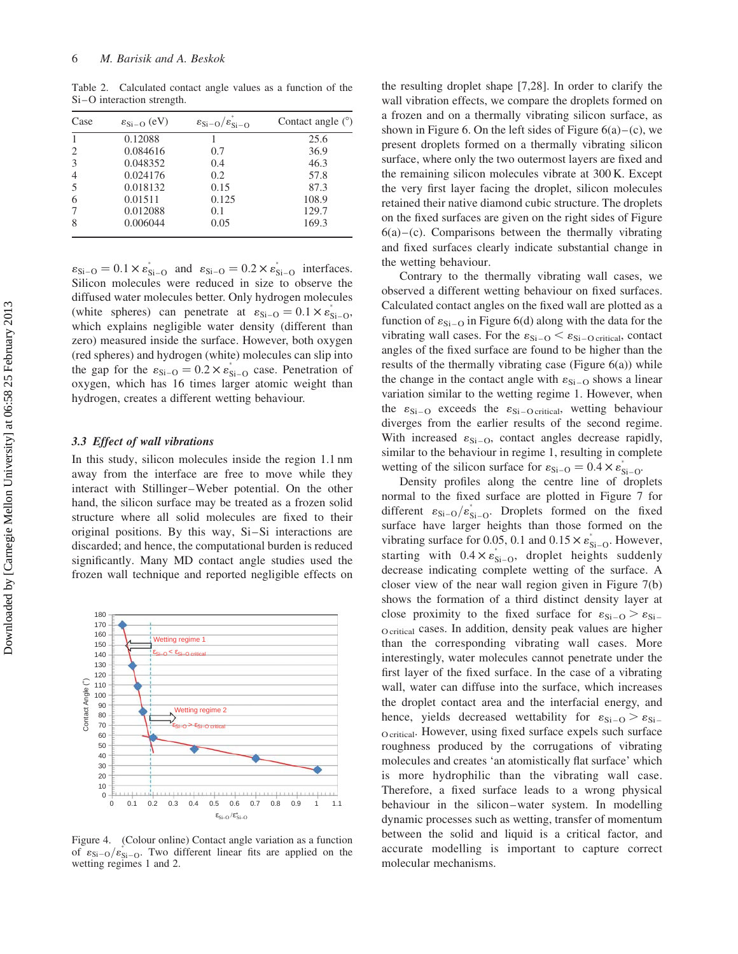Table 2. Calculated contact angle values as a function of the Si–O interaction strength.

| Case | $\varepsilon_{\text{Si}-\Omega}$ (eV) | $\varepsilon_{\text{Si}-\text{O}}/\varepsilon_{\text{Si}-\text{O}}$ | Contact angle $(°)$ |
|------|---------------------------------------|---------------------------------------------------------------------|---------------------|
|      | 0.12088                               |                                                                     | 25.6                |
| 2    | 0.084616                              | 0.7                                                                 | 36.9                |
| 3    | 0.048352                              | 0.4                                                                 | 46.3                |
| 4    | 0.024176                              | 0.2                                                                 | 57.8                |
| -5   | 0.018132                              | 0.15                                                                | 87.3                |
| 6    | 0.01511                               | 0.125                                                               | 108.9               |
| 7    | 0.012088                              | 0.1                                                                 | 129.7               |
| 8    | 0.006044                              | 0.05                                                                | 169.3               |

 $\varepsilon_{\text{Si}-\text{O}} = 0.1 \times \varepsilon_{\text{Si}-\text{O}}^*$  and  $\varepsilon_{\text{Si}-\text{O}} = 0.2 \times \varepsilon_{\text{Si}-\text{O}}^*$  interfaces. Silicon molecules were reduced in size to observe the diffused water molecules better. Only hydrogen molecules (white spheres) can penetrate at  $\varepsilon_{Si-O} = 0.1 \times \varepsilon_{Si-O}^*$ , which explains negligible water density (different than zero) measured inside the surface. However, both oxygen (red spheres) and hydrogen (white) molecules can slip into the gap for the  $\varepsilon_{Si-O} = 0.2 \times \varepsilon_{Si-O}^*$  case. Penetration of oxygen, which has 16 times larger atomic weight than hydrogen, creates a different wetting behaviour.

### 3.3 Effect of wall vibrations

In this study, silicon molecules inside the region 1.1 nm away from the interface are free to move while they interact with Stillinger–Weber potential. On the other hand, the silicon surface may be treated as a frozen solid structure where all solid molecules are fixed to their original positions. By this way, Si–Si interactions are discarded; and hence, the computational burden is reduced significantly. Many MD contact angle studies used the frozen wall technique and reported negligible effects on



Figure 4. (Colour online) Contact angle variation as a function of  $\varepsilon_{\text{Si}-\text{O}}/\varepsilon_{\text{Si}-\text{O}}^*$ . Two different linear fits are applied on the wetting regimes 1 and 2.

the resulting droplet shape [7,28]. In order to clarify the wall vibration effects, we compare the droplets formed on a frozen and on a thermally vibrating silicon surface, as shown in Figure 6. On the left sides of Figure  $6(a)$ –(c), we present droplets formed on a thermally vibrating silicon surface, where only the two outermost layers are fixed and the remaining silicon molecules vibrate at 300 K. Except the very first layer facing the droplet, silicon molecules retained their native diamond cubic structure. The droplets on the fixed surfaces are given on the right sides of Figure  $6(a)$ –(c). Comparisons between the thermally vibrating and fixed surfaces clearly indicate substantial change in the wetting behaviour.

Contrary to the thermally vibrating wall cases, we observed a different wetting behaviour on fixed surfaces. Calculated contact angles on the fixed wall are plotted as a function of  $\varepsilon_{Si-O}$  in Figure 6(d) along with the data for the vibrating wall cases. For the  $\varepsilon_{Si-O} < \varepsilon_{Si-O \text{ critical}}$ , contact angles of the fixed surface are found to be higher than the results of the thermally vibrating case (Figure  $6(a)$ ) while the change in the contact angle with  $\varepsilon_{Si-O}$  shows a linear variation similar to the wetting regime 1. However, when the  $\varepsilon_{\text{Si}-\text{O}}$  exceeds the  $\varepsilon_{\text{Si}-\text{O critical}}$ , wetting behaviour diverges from the earlier results of the second regime. With increased  $\varepsilon_{Si-O}$ , contact angles decrease rapidly, similar to the behaviour in regime 1, resulting in complete wetting of the silicon surface for  $\varepsilon_{Si-O} = 0.4 \times \varepsilon_{Si-O}^*$ .

Density profiles along the centre line of droplets normal to the fixed surface are plotted in Figure 7 for different  $\varepsilon_{\text{Si}-\text{O}}/\varepsilon_{\text{Si}-\text{O}}^*$ . Droplets formed on the fixed surface have larger heights than those formed on the vibrating surface for 0.05, 0.1 and  $0.15 \times \varepsilon_{Si-O}^*$ . However, starting with  $0.4 \times \varepsilon_{Si-O}^*$ , droplet heights suddenly decrease indicating complete wetting of the surface. A closer view of the near wall region given in Figure 7(b) shows the formation of a third distinct density layer at close proximity to the fixed surface for  $\varepsilon_{Si-O} > \varepsilon_{Si}$ . O critical cases. In addition, density peak values are higher than the corresponding vibrating wall cases. More interestingly, water molecules cannot penetrate under the first layer of the fixed surface. In the case of a vibrating wall, water can diffuse into the surface, which increases the droplet contact area and the interfacial energy, and hence, yields decreased wettability for  $\varepsilon_{Si-O} > \varepsilon_{Si}$ . O critical. However, using fixed surface expels such surface roughness produced by the corrugations of vibrating molecules and creates 'an atomistically flat surface' which is more hydrophilic than the vibrating wall case. Therefore, a fixed surface leads to a wrong physical behaviour in the silicon–water system. In modelling dynamic processes such as wetting, transfer of momentum between the solid and liquid is a critical factor, and accurate modelling is important to capture correct molecular mechanisms.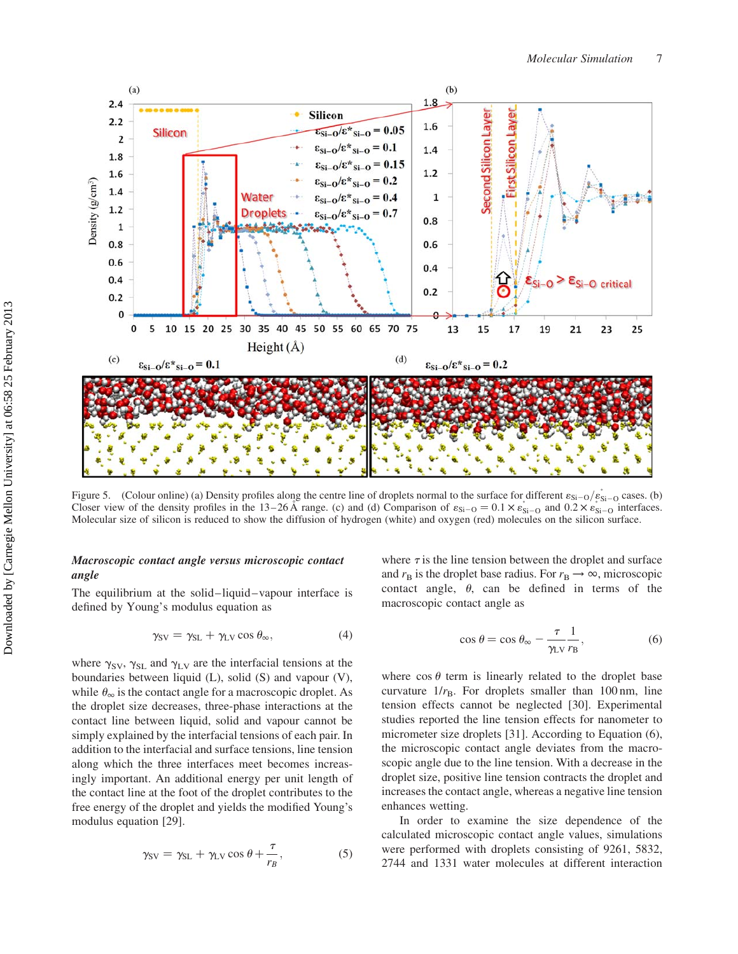

Figure 5. (Colour online) (a) Density profiles along the centre line of droplets normal to the surface for different  $\varepsilon_{Si-O}/\varepsilon_{Si-O}^*$  cases. (b) Closer view of the density profiles in the 13–26 Å range. (c) and (d) Comparison of  $\varepsilon_{Si-O} = 0.1 \times \varepsilon_{Si-O}^*$  and  $0.2 \times \varepsilon_{Si-O}^*$  interfaces. Molecular size of silicon is reduced to show the diffusion of hydrogen (white) and oxygen (red) molecules on the silicon surface.

# Macroscopic contact angle versus microscopic contact angle

The equilibrium at the solid–liquid–vapour interface is defined by Young's modulus equation as

$$
\gamma_{SV} = \gamma_{SL} + \gamma_{LV} \cos \theta_{\infty}, \qquad (4)
$$

where  $\gamma_{SV}$ ,  $\gamma_{SL}$  and  $\gamma_{LV}$  are the interfacial tensions at the boundaries between liquid (L), solid (S) and vapour (V), while  $\theta_{\infty}$  is the contact angle for a macroscopic droplet. As the droplet size decreases, three-phase interactions at the contact line between liquid, solid and vapour cannot be simply explained by the interfacial tensions of each pair. In addition to the interfacial and surface tensions, line tension along which the three interfaces meet becomes increasingly important. An additional energy per unit length of the contact line at the foot of the droplet contributes to the free energy of the droplet and yields the modified Young's modulus equation [29].

$$
\gamma_{SV} = \gamma_{SL} + \gamma_{LV} \cos \theta + \frac{\tau}{r_B},\tag{5}
$$

where  $\tau$  is the line tension between the droplet and surface and  $r_B$  is the droplet base radius. For  $r_B \rightarrow \infty$ , microscopic contact angle,  $\theta$ , can be defined in terms of the macroscopic contact angle as

$$
\cos \theta = \cos \theta_{\infty} - \frac{\tau}{\gamma_{\rm LV}} \frac{1}{r_{\rm B}},\tag{6}
$$

where  $\cos \theta$  term is linearly related to the droplet base curvature  $1/r_B$ . For droplets smaller than 100 nm, line tension effects cannot be neglected [30]. Experimental studies reported the line tension effects for nanometer to micrometer size droplets [31]. According to Equation (6), the microscopic contact angle deviates from the macroscopic angle due to the line tension. With a decrease in the droplet size, positive line tension contracts the droplet and increases the contact angle, whereas a negative line tension enhances wetting.

In order to examine the size dependence of the calculated microscopic contact angle values, simulations were performed with droplets consisting of 9261, 5832, 2744 and 1331 water molecules at different interaction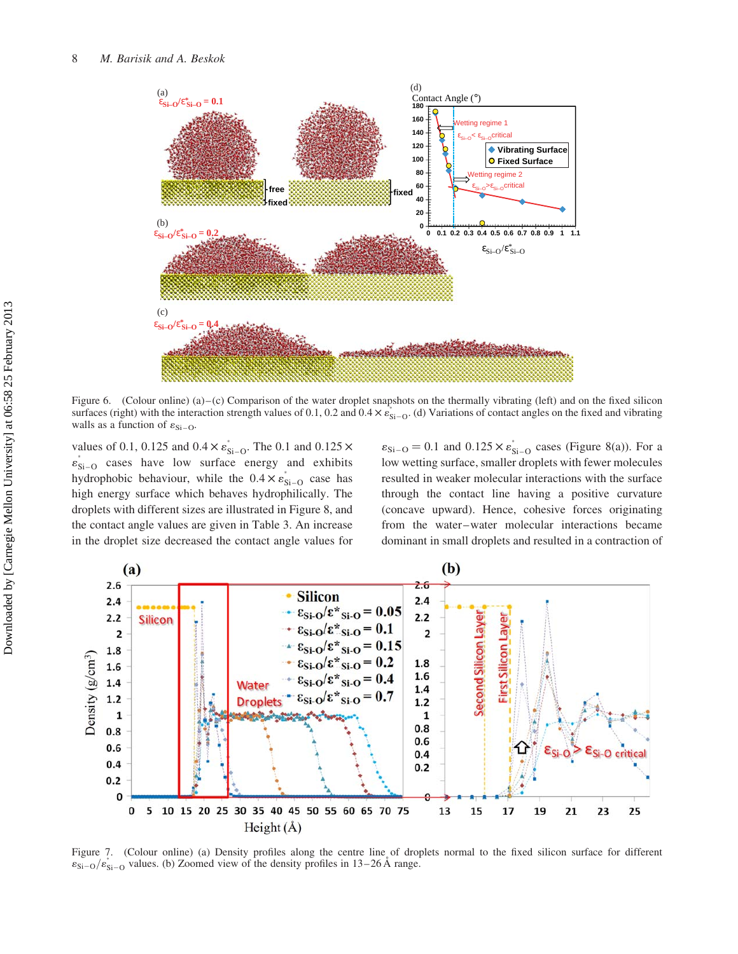

Figure 6. (Colour online) (a)–(c) Comparison of the water droplet snapshots on the thermally vibrating (left) and on the fixed silicon surfaces (right) with the interaction strength values of 0.1, 0.2 and  $0.4 \times \epsilon_{Si-O}^*$ . (d) Variations of contact angles on the fixed and vibrating walls as a function of  $\varepsilon_{Si-O}$ .

values of 0.1, 0.125 and  $0.4 \times \varepsilon_{Si-O}^*$ . The 0.1 and 0.125  $\times$  $\varepsilon_{Si-O}^{*}$  cases have low surface energy and exhibits hydrophobic behaviour, while the  $0.4 \times \varepsilon_{Si-O}^*$  case has high energy surface which behaves hydrophilically. The droplets with different sizes are illustrated in Figure 8, and the contact angle values are given in Table 3. An increase in the droplet size decreased the contact angle values for

 $\varepsilon_{\text{Si}-\text{O}} = 0.1$  and  $0.125 \times \varepsilon_{\text{Si}-\text{O}}^*$  cases (Figure 8(a)). For a low wetting surface, smaller droplets with fewer molecules resulted in weaker molecular interactions with the surface through the contact line having a positive curvature (concave upward). Hence, cohesive forces originating from the water–water molecular interactions became dominant in small droplets and resulted in a contraction of



Figure 7. (Colour online) (a) Density profiles along the centre line of droplets normal to the fixed silicon surface for different  $\varepsilon_{\text{Si}-\text{O}}/\varepsilon_{\text{Si}-\text{O}}^*$  values. (b) Zoomed view of the density profiles in 13–26 Å range.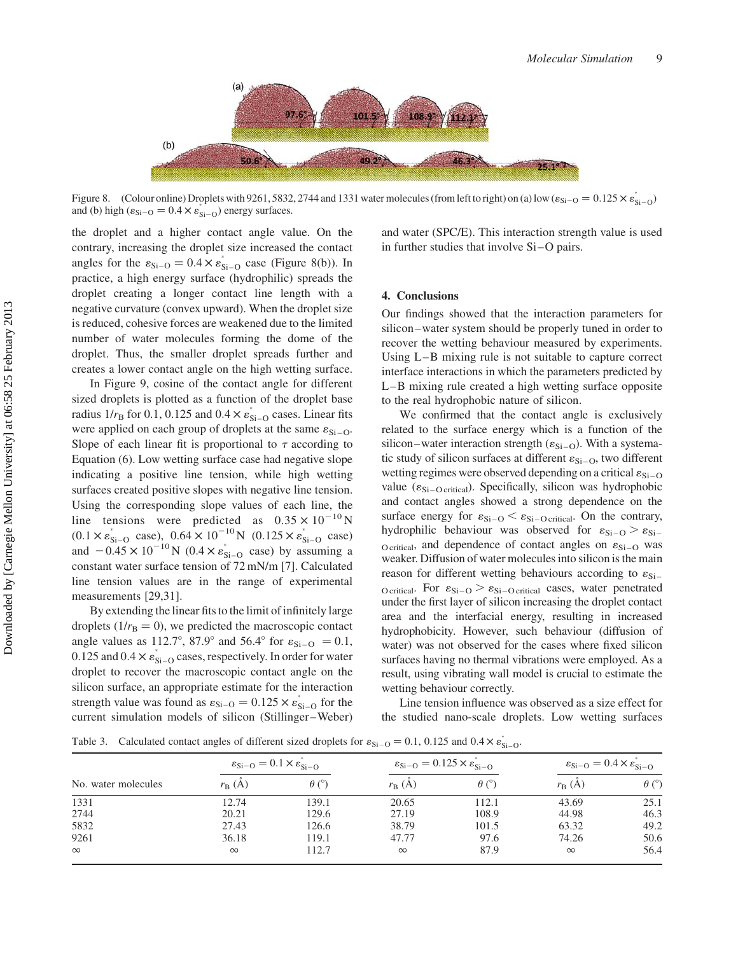

Figure 8. (Colour online) Droplets with 9261, 5832, 2744 and 1331 water molecules (from left to right) on (a) low  $(\epsilon_{Si-O} = 0.125 \times \epsilon_{Si-O}^*)$ and (b) high  $(\varepsilon_{Si-O} = 0.4 \times \varepsilon_{Si-O}^*)$  energy surfaces.

the droplet and a higher contact angle value. On the contrary, increasing the droplet size increased the contact angles for the  $\varepsilon_{Si-O} = 0.4 \times \varepsilon_{Si-O}^*$  case (Figure 8(b)). In practice, a high energy surface (hydrophilic) spreads the droplet creating a longer contact line length with a negative curvature (convex upward). When the droplet size is reduced, cohesive forces are weakened due to the limited number of water molecules forming the dome of the droplet. Thus, the smaller droplet spreads further and creates a lower contact angle on the high wetting surface.

In Figure 9, cosine of the contact angle for different sized droplets is plotted as a function of the droplet base radius  $1/r_B$  for 0.1, 0.125 and 0.4  $\times \varepsilon_{Si-O}^*$  cases. Linear fits were applied on each group of droplets at the same  $\varepsilon_{Si-O}$ . Slope of each linear fit is proportional to  $\tau$  according to Equation (6). Low wetting surface case had negative slope indicating a positive line tension, while high wetting surfaces created positive slopes with negative line tension. Using the corresponding slope values of each line, the line tensions were predicted as  $0.35 \times 10^{-10}$  N  $(0.1 \times \varepsilon_{Si-O}^* \text{ case}), 0.64 \times 10^{-10} \text{N} (0.125 \times \varepsilon_{Si-O}^* \text{ case})$ and  $-0.45 \times 10^{-10}$ N  $(0.4 \times \varepsilon_{Si-O}^*$  case) by assuming a constant water surface tension of 72 mN/m [7]. Calculated line tension values are in the range of experimental measurements [29,31].

By extending the linear fits to the limit of infinitely large droplets  $(1/r_B = 0)$ , we predicted the macroscopic contact angle values as 112.7°, 87.9° and 56.4° for  $\varepsilon_{Si-O} = 0.1$ , 0.125 and  $0.4 \times \varepsilon_{Si-O}^*$  cases, respectively. In order for water droplet to recover the macroscopic contact angle on the silicon surface, an appropriate estimate for the interaction strength value was found as  $\varepsilon_{Si-O} = 0.125 \times \varepsilon_{Si-O}^*$  for the current simulation models of silicon (Stillinger–Weber) and water (SPC/E). This interaction strength value is used in further studies that involve Si–O pairs.

# 4. Conclusions

Our findings showed that the interaction parameters for silicon–water system should be properly tuned in order to recover the wetting behaviour measured by experiments. Using L–B mixing rule is not suitable to capture correct interface interactions in which the parameters predicted by L–B mixing rule created a high wetting surface opposite to the real hydrophobic nature of silicon.

We confirmed that the contact angle is exclusively related to the surface energy which is a function of the silicon–water interaction strength ( $\varepsilon_{Si-O}$ ). With a systematic study of silicon surfaces at different  $\varepsilon_{Si-O}$ , two different wetting regimes were observed depending on a critical  $\varepsilon_{\text{Si}-\text{O}}$ value ( $\varepsilon_{Si-O\ critical}$ ). Specifically, silicon was hydrophobic and contact angles showed a strong dependence on the surface energy for  $\varepsilon_{Si-O} < \varepsilon_{Si-O \text{ critical}}$ . On the contrary, hydrophilic behaviour was observed for  $\varepsilon_{Si-O} > \varepsilon_{Si}$ .  $O$  critical, and dependence of contact angles on  $\varepsilon_{Si-O}$  was weaker. Diffusion of water molecules into silicon is the main reason for different wetting behaviours according to  $\varepsilon_{Si}$ O critical. For  $\varepsilon_{Si-O} > \varepsilon_{Si-O}$  critical cases, water penetrated under the first layer of silicon increasing the droplet contact area and the interfacial energy, resulting in increased hydrophobicity. However, such behaviour (diffusion of water) was not observed for the cases where fixed silicon surfaces having no thermal vibrations were employed. As a result, using vibrating wall model is crucial to estimate the wetting behaviour correctly.

Line tension influence was observed as a size effect for the studied nano-scale droplets. Low wetting surfaces

Table 3. Calculated contact angles of different sized droplets for  $\varepsilon_{Si-O} = 0.1$ , 0.125 and 0.4  $\times \varepsilon_{Si-O}^*$ .

| No. water molecules | $\varepsilon_{\text{Si}-\text{O}} = 0.1 \times \varepsilon_{\text{Si}-\text{O}}$ |                         | $\varepsilon_{\text{Si}-\text{O}} = 0.125 \times \varepsilon_{\text{Si}-\text{O}}$ | $\varepsilon_{\text{Si}-\text{O}} = 0.4 \times \varepsilon_{\text{Si}-\text{O}}$ |                 |                        |
|---------------------|----------------------------------------------------------------------------------|-------------------------|------------------------------------------------------------------------------------|----------------------------------------------------------------------------------|-----------------|------------------------|
|                     | $r_{\rm B}(\dot{\rm A})$                                                         | $\theta$ ( $^{\circ}$ ) | $r_{\rm R}$ (A)                                                                    | $\theta$ (°)                                                                     | $r_{\rm B}$ (A) | $\theta$ ( $\degree$ ) |
| 1331                | 12.74                                                                            | 139.1                   | 20.65                                                                              | 112.1                                                                            | 43.69           | 25.1                   |
| 2744                | 20.21                                                                            | 129.6                   | 27.19                                                                              | 108.9                                                                            | 44.98           | 46.3                   |
| 5832                | 27.43                                                                            | 126.6                   | 38.79                                                                              | 101.5                                                                            | 63.32           | 49.2                   |
| 9261                | 36.18                                                                            | 119.1                   | 47.77                                                                              | 97.6                                                                             | 74.26           | 50.6                   |
| $\infty$            | $\infty$                                                                         | 112.7                   | $\infty$                                                                           | 87.9                                                                             | $\infty$        | 56.4                   |